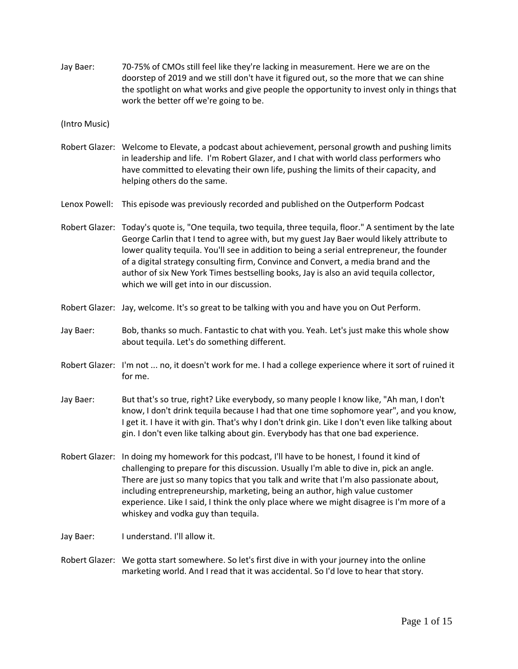Jay Baer: 70-75% of CMOs still feel like they're lacking in measurement. Here we are on the doorstep of 2019 and we still don't have it figured out, so the more that we can shine the spotlight on what works and give people the opportunity to invest only in things that work the better off we're going to be.

(Intro Music)

Robert Glazer: Welcome to Elevate, a podcast about achievement, personal growth and pushing limits in leadership and life. I'm Robert Glazer, and I chat with world class performers who have committed to elevating their own life, pushing the limits of their capacity, and helping others do the same.

Lenox Powell: This episode was previously recorded and published on the Outperform Podcast

- Robert Glazer: Today's quote is, "One tequila, two tequila, three tequila, floor." A sentiment by the late George Carlin that I tend to agree with, but my guest Jay Baer would likely attribute to lower quality tequila. You'll see in addition to being a serial entrepreneur, the founder of a digital strategy consulting firm, Convince and Convert, a media brand and the author of six New York Times bestselling books, Jay is also an avid tequila collector, which we will get into in our discussion.
- Robert Glazer: Jay, welcome. It's so great to be talking with you and have you on Out Perform.
- Jay Baer: Bob, thanks so much. Fantastic to chat with you. Yeah. Let's just make this whole show about tequila. Let's do something different.
- Robert Glazer: I'm not ... no, it doesn't work for me. I had a college experience where it sort of ruined it for me.
- Jay Baer: But that's so true, right? Like everybody, so many people I know like, "Ah man, I don't know, I don't drink tequila because I had that one time sophomore year", and you know, I get it. I have it with gin. That's why I don't drink gin. Like I don't even like talking about gin. I don't even like talking about gin. Everybody has that one bad experience.
- Robert Glazer: In doing my homework for this podcast, I'll have to be honest, I found it kind of challenging to prepare for this discussion. Usually I'm able to dive in, pick an angle. There are just so many topics that you talk and write that I'm also passionate about, including entrepreneurship, marketing, being an author, high value customer experience. Like I said, I think the only place where we might disagree is I'm more of a whiskey and vodka guy than tequila.
- Jay Baer: I understand. I'll allow it.
- Robert Glazer: We gotta start somewhere. So let's first dive in with your journey into the online marketing world. And I read that it was accidental. So I'd love to hear that story.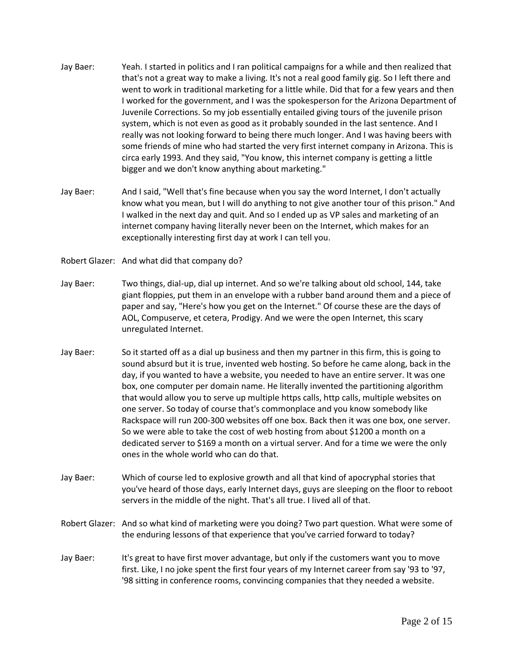- Jay Baer: Yeah. I started in politics and I ran political campaigns for a while and then realized that that's not a great way to make a living. It's not a real good family gig. So I left there and went to work in traditional marketing for a little while. Did that for a few years and then I worked for the government, and I was the spokesperson for the Arizona Department of Juvenile Corrections. So my job essentially entailed giving tours of the juvenile prison system, which is not even as good as it probably sounded in the last sentence. And I really was not looking forward to being there much longer. And I was having beers with some friends of mine who had started the very first internet company in Arizona. This is circa early 1993. And they said, "You know, this internet company is getting a little bigger and we don't know anything about marketing."
- Jay Baer: And I said, "Well that's fine because when you say the word Internet, I don't actually know what you mean, but I will do anything to not give another tour of this prison." And I walked in the next day and quit. And so I ended up as VP sales and marketing of an internet company having literally never been on the Internet, which makes for an exceptionally interesting first day at work I can tell you.
- Robert Glazer: And what did that company do?
- Jay Baer: Two things, dial-up, dial up internet. And so we're talking about old school, 144, take giant floppies, put them in an envelope with a rubber band around them and a piece of paper and say, "Here's how you get on the Internet." Of course these are the days of AOL, Compuserve, et cetera, Prodigy. And we were the open Internet, this scary unregulated Internet.
- Jay Baer: So it started off as a dial up business and then my partner in this firm, this is going to sound absurd but it is true, invented web hosting. So before he came along, back in the day, if you wanted to have a website, you needed to have an entire server. It was one box, one computer per domain name. He literally invented the partitioning algorithm that would allow you to serve up multiple https calls, http calls, multiple websites on one server. So today of course that's commonplace and you know somebody like Rackspace will run 200-300 websites off one box. Back then it was one box, one server. So we were able to take the cost of web hosting from about \$1200 a month on a dedicated server to \$169 a month on a virtual server. And for a time we were the only ones in the whole world who can do that.
- Jay Baer: Which of course led to explosive growth and all that kind of apocryphal stories that you've heard of those days, early Internet days, guys are sleeping on the floor to reboot servers in the middle of the night. That's all true. I lived all of that.
- Robert Glazer: And so what kind of marketing were you doing? Two part question. What were some of the enduring lessons of that experience that you've carried forward to today?
- Jay Baer: It's great to have first mover advantage, but only if the customers want you to move first. Like, I no joke spent the first four years of my Internet career from say '93 to '97, '98 sitting in conference rooms, convincing companies that they needed a website.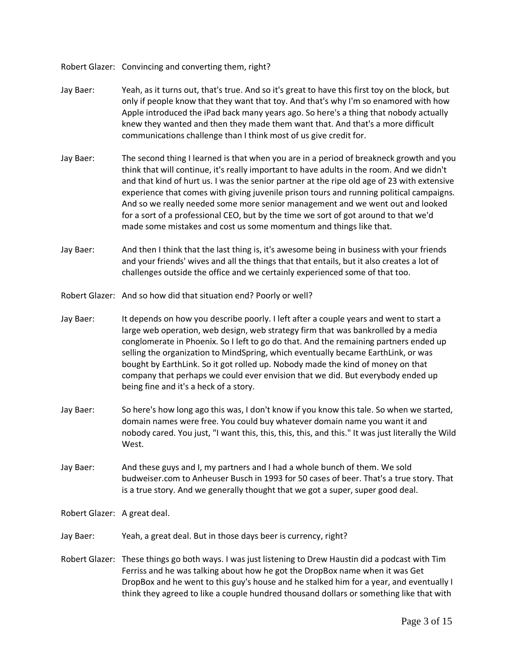Robert Glazer: Convincing and converting them, right?

- Jay Baer: Yeah, as it turns out, that's true. And so it's great to have this first toy on the block, but only if people know that they want that toy. And that's why I'm so enamored with how Apple introduced the iPad back many years ago. So here's a thing that nobody actually knew they wanted and then they made them want that. And that's a more difficult communications challenge than I think most of us give credit for.
- Jay Baer: The second thing I learned is that when you are in a period of breakneck growth and you think that will continue, it's really important to have adults in the room. And we didn't and that kind of hurt us. I was the senior partner at the ripe old age of 23 with extensive experience that comes with giving juvenile prison tours and running political campaigns. And so we really needed some more senior management and we went out and looked for a sort of a professional CEO, but by the time we sort of got around to that we'd made some mistakes and cost us some momentum and things like that.
- Jay Baer: And then I think that the last thing is, it's awesome being in business with your friends and your friends' wives and all the things that that entails, but it also creates a lot of challenges outside the office and we certainly experienced some of that too.
- Robert Glazer: And so how did that situation end? Poorly or well?
- Jay Baer: It depends on how you describe poorly. I left after a couple years and went to start a large web operation, web design, web strategy firm that was bankrolled by a media conglomerate in Phoenix. So I left to go do that. And the remaining partners ended up selling the organization to MindSpring, which eventually became EarthLink, or was bought by EarthLink. So it got rolled up. Nobody made the kind of money on that company that perhaps we could ever envision that we did. But everybody ended up being fine and it's a heck of a story.
- Jay Baer: So here's how long ago this was, I don't know if you know this tale. So when we started, domain names were free. You could buy whatever domain name you want it and nobody cared. You just, "I want this, this, this, this, and this." It was just literally the Wild West.
- Jay Baer: And these guys and I, my partners and I had a whole bunch of them. We sold budweiser.com to Anheuser Busch in 1993 for 50 cases of beer. That's a true story. That is a true story. And we generally thought that we got a super, super good deal.
- Robert Glazer: A great deal.
- Jay Baer: Yeah, a great deal. But in those days beer is currency, right?
- Robert Glazer: These things go both ways. I was just listening to Drew Haustin did a podcast with Tim Ferriss and he was talking about how he got the DropBox name when it was Get DropBox and he went to this guy's house and he stalked him for a year, and eventually I think they agreed to like a couple hundred thousand dollars or something like that with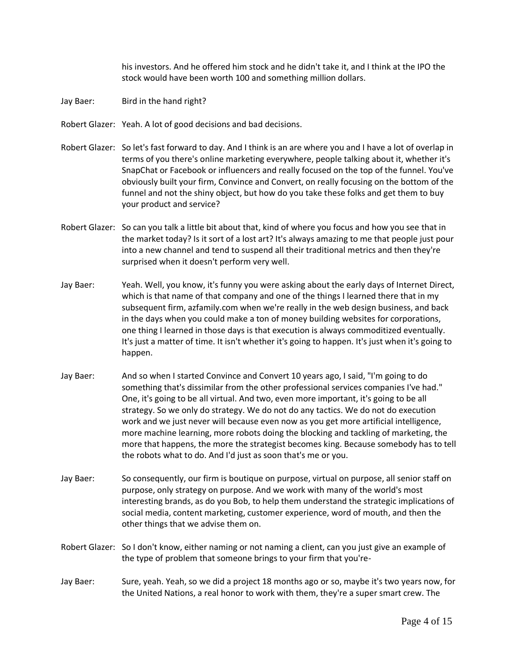his investors. And he offered him stock and he didn't take it, and I think at the IPO the stock would have been worth 100 and something million dollars.

- Jay Baer: Bird in the hand right?
- Robert Glazer: Yeah. A lot of good decisions and bad decisions.
- Robert Glazer: So let's fast forward to day. And I think is an are where you and I have a lot of overlap in terms of you there's online marketing everywhere, people talking about it, whether it's SnapChat or Facebook or influencers and really focused on the top of the funnel. You've obviously built your firm, Convince and Convert, on really focusing on the bottom of the funnel and not the shiny object, but how do you take these folks and get them to buy your product and service?
- Robert Glazer: So can you talk a little bit about that, kind of where you focus and how you see that in the market today? Is it sort of a lost art? It's always amazing to me that people just pour into a new channel and tend to suspend all their traditional metrics and then they're surprised when it doesn't perform very well.
- Jay Baer: Yeah. Well, you know, it's funny you were asking about the early days of Internet Direct, which is that name of that company and one of the things I learned there that in my subsequent firm, azfamily.com when we're really in the web design business, and back in the days when you could make a ton of money building websites for corporations, one thing I learned in those days is that execution is always commoditized eventually. It's just a matter of time. It isn't whether it's going to happen. It's just when it's going to happen.
- Jay Baer: And so when I started Convince and Convert 10 years ago, I said, "I'm going to do something that's dissimilar from the other professional services companies I've had." One, it's going to be all virtual. And two, even more important, it's going to be all strategy. So we only do strategy. We do not do any tactics. We do not do execution work and we just never will because even now as you get more artificial intelligence, more machine learning, more robots doing the blocking and tackling of marketing, the more that happens, the more the strategist becomes king. Because somebody has to tell the robots what to do. And I'd just as soon that's me or you.
- Jay Baer: So consequently, our firm is boutique on purpose, virtual on purpose, all senior staff on purpose, only strategy on purpose. And we work with many of the world's most interesting brands, as do you Bob, to help them understand the strategic implications of social media, content marketing, customer experience, word of mouth, and then the other things that we advise them on.
- Robert Glazer: So I don't know, either naming or not naming a client, can you just give an example of the type of problem that someone brings to your firm that you're-
- Jay Baer: Sure, yeah. Yeah, so we did a project 18 months ago or so, maybe it's two years now, for the United Nations, a real honor to work with them, they're a super smart crew. The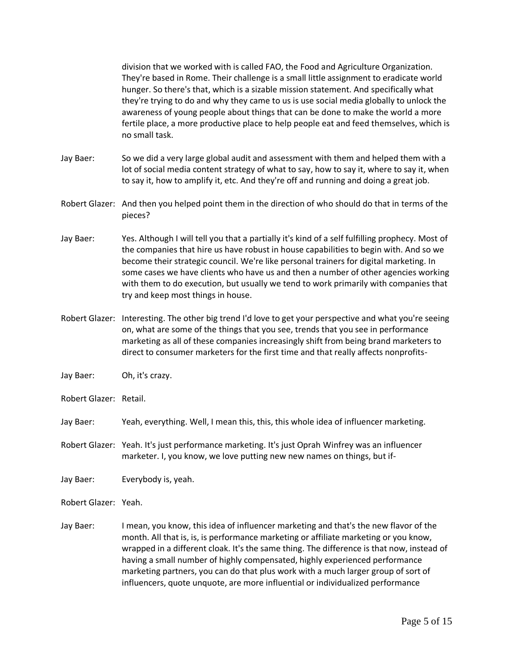division that we worked with is called FAO, the Food and Agriculture Organization. They're based in Rome. Their challenge is a small little assignment to eradicate world hunger. So there's that, which is a sizable mission statement. And specifically what they're trying to do and why they came to us is use social media globally to unlock the awareness of young people about things that can be done to make the world a more fertile place, a more productive place to help people eat and feed themselves, which is no small task.

- Jay Baer: So we did a very large global audit and assessment with them and helped them with a lot of social media content strategy of what to say, how to say it, where to say it, when to say it, how to amplify it, etc. And they're off and running and doing a great job.
- Robert Glazer: And then you helped point them in the direction of who should do that in terms of the pieces?
- Jay Baer: Yes. Although I will tell you that a partially it's kind of a self fulfilling prophecy. Most of the companies that hire us have robust in house capabilities to begin with. And so we become their strategic council. We're like personal trainers for digital marketing. In some cases we have clients who have us and then a number of other agencies working with them to do execution, but usually we tend to work primarily with companies that try and keep most things in house.
- Robert Glazer: Interesting. The other big trend I'd love to get your perspective and what you're seeing on, what are some of the things that you see, trends that you see in performance marketing as all of these companies increasingly shift from being brand marketers to direct to consumer marketers for the first time and that really affects nonprofits-
- Jay Baer: Oh, it's crazy.
- Robert Glazer: Retail.
- Jay Baer: Yeah, everything. Well, I mean this, this, this whole idea of influencer marketing.
- Robert Glazer: Yeah. It's just performance marketing. It's just Oprah Winfrey was an influencer marketer. I, you know, we love putting new new names on things, but if-
- Jay Baer: Everybody is, yeah.
- Robert Glazer: Yeah.
- Jay Baer: I mean, you know, this idea of influencer marketing and that's the new flavor of the month. All that is, is, is performance marketing or affiliate marketing or you know, wrapped in a different cloak. It's the same thing. The difference is that now, instead of having a small number of highly compensated, highly experienced performance marketing partners, you can do that plus work with a much larger group of sort of influencers, quote unquote, are more influential or individualized performance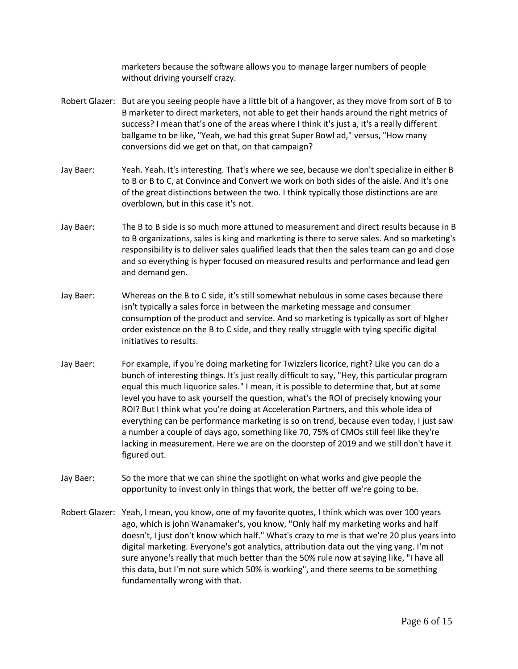marketers because the software allows you to manage larger numbers of people without driving yourself crazy.

- Robert Glazer: But are you seeing people have a little bit of a hangover, as they move from sort of B to B marketer to direct marketers, not able to get their hands around the right metrics of success? I mean that's one of the areas where I think it's just a, it's a really different ballgame to be like, "Yeah, we had this great Super Bowl ad," versus, "How many conversions did we get on that, on that campaign?
- Jay Baer: Yeah. Yeah. It's interesting. That's where we see, because we don't specialize in either B to B or B to C, at Convince and Convert we work on both sides of the aisle. And it's one of the great distinctions between the two. I think typically those distinctions are are overblown, but in this case it's not.
- Jay Baer: The B to B side is so much more attuned to measurement and direct results because in B to B organizations, sales is king and marketing is there to serve sales. And so marketing's responsibility is to deliver sales qualified leads that then the sales team can go and close and so everything is hyper focused on measured results and performance and lead gen and demand gen.
- Jay Baer: Whereas on the B to C side, it's still somewhat nebulous in some cases because there isn't typically a sales force in between the marketing message and consumer consumption of the product and service. And so marketing is typically as sort of hIgher order existence on the B to C side, and they really struggle with tying specific digital initiatives to results.
- Jay Baer: For example, if you're doing marketing for Twizzlers licorice, right? Like you can do a bunch of interesting things. It's just really difficult to say, "Hey, this particular program equal this much liquorice sales." I mean, it is possible to determine that, but at some level you have to ask yourself the question, what's the ROI of precisely knowing your ROI? But I think what you're doing at Acceleration Partners, and this whole idea of everything can be performance marketing is so on trend, because even today, I just saw a number a couple of days ago, something like 70, 75% of CMOs still feel like they're lacking in measurement. Here we are on the doorstep of 2019 and we still don't have it figured out.
- Jay Baer: So the more that we can shine the spotlight on what works and give people the opportunity to invest only in things that work, the better off we're going to be.
- Robert Glazer: Yeah, I mean, you know, one of my favorite quotes, I think which was over 100 years ago, which is john Wanamaker's, you know, "Only half my marketing works and half doesn't, I just don't know which half." What's crazy to me is that we're 20 plus years into digital marketing. Everyone's got analytics, attribution data out the ying yang. I'm not sure anyone's really that much better than the 50% rule now at saying like, "I have all this data, but I'm not sure which 50% is working", and there seems to be something fundamentally wrong with that.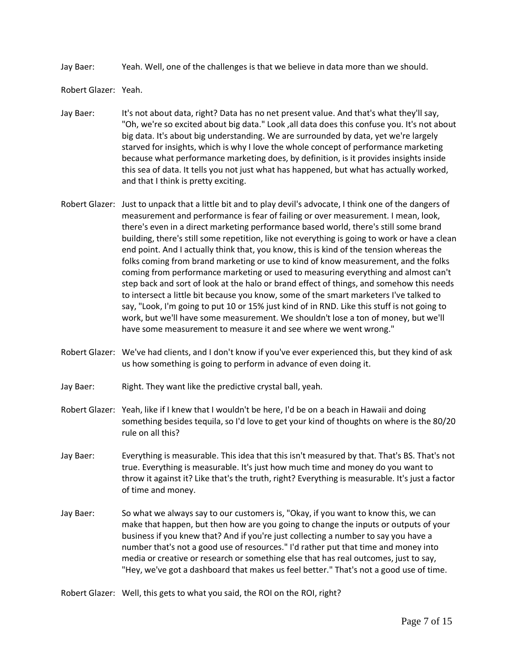Jay Baer: Yeah. Well, one of the challenges is that we believe in data more than we should.

Robert Glazer: Yeah.

- Jay Baer: It's not about data, right? Data has no net present value. And that's what they'll say, "Oh, we're so excited about big data." Look ,all data does this confuse you. It's not about big data. It's about big understanding. We are surrounded by data, yet we're largely starved for insights, which is why I love the whole concept of performance marketing because what performance marketing does, by definition, is it provides insights inside this sea of data. It tells you not just what has happened, but what has actually worked, and that I think is pretty exciting.
- Robert Glazer: Just to unpack that a little bit and to play devil's advocate, I think one of the dangers of measurement and performance is fear of failing or over measurement. I mean, look, there's even in a direct marketing performance based world, there's still some brand building, there's still some repetition, like not everything is going to work or have a clean end point. And I actually think that, you know, this is kind of the tension whereas the folks coming from brand marketing or use to kind of know measurement, and the folks coming from performance marketing or used to measuring everything and almost can't step back and sort of look at the halo or brand effect of things, and somehow this needs to intersect a little bit because you know, some of the smart marketers I've talked to say, "Look, I'm going to put 10 or 15% just kind of in RND. Like this stuff is not going to work, but we'll have some measurement. We shouldn't lose a ton of money, but we'll have some measurement to measure it and see where we went wrong."
- Robert Glazer: We've had clients, and I don't know if you've ever experienced this, but they kind of ask us how something is going to perform in advance of even doing it.
- Jay Baer: Right. They want like the predictive crystal ball, yeah.
- Robert Glazer: Yeah, like if I knew that I wouldn't be here, I'd be on a beach in Hawaii and doing something besides tequila, so I'd love to get your kind of thoughts on where is the 80/20 rule on all this?
- Jay Baer: Everything is measurable. This idea that this isn't measured by that. That's BS. That's not true. Everything is measurable. It's just how much time and money do you want to throw it against it? Like that's the truth, right? Everything is measurable. It's just a factor of time and money.
- Jay Baer: So what we always say to our customers is, "Okay, if you want to know this, we can make that happen, but then how are you going to change the inputs or outputs of your business if you knew that? And if you're just collecting a number to say you have a number that's not a good use of resources." I'd rather put that time and money into media or creative or research or something else that has real outcomes, just to say, "Hey, we've got a dashboard that makes us feel better." That's not a good use of time.

Robert Glazer: Well, this gets to what you said, the ROI on the ROI, right?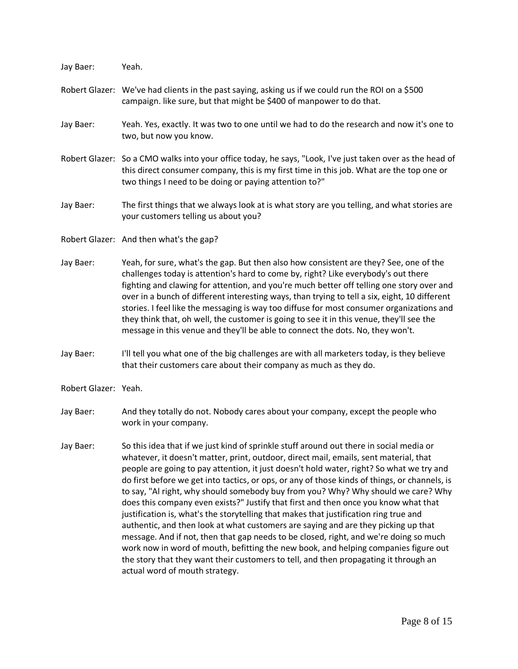Jay Baer: Yeah. Robert Glazer: We've had clients in the past saying, asking us if we could run the ROI on a \$500 campaign. like sure, but that might be \$400 of manpower to do that. Jay Baer: Yeah. Yes, exactly. It was two to one until we had to do the research and now it's one to two, but now you know. Robert Glazer: So a CMO walks into your office today, he says, "Look, I've just taken over as the head of this direct consumer company, this is my first time in this job. What are the top one or two things I need to be doing or paying attention to?" Jay Baer: The first things that we always look at is what story are you telling, and what stories are your customers telling us about you? Robert Glazer: And then what's the gap? Jay Baer: Yeah, for sure, what's the gap. But then also how consistent are they? See, one of the challenges today is attention's hard to come by, right? Like everybody's out there fighting and clawing for attention, and you're much better off telling one story over and over in a bunch of different interesting ways, than trying to tell a six, eight, 10 different stories. I feel like the messaging is way too diffuse for most consumer organizations and they think that, oh well, the customer is going to see it in this venue, they'll see the message in this venue and they'll be able to connect the dots. No, they won't. Jay Baer: I'll tell you what one of the big challenges are with all marketers today, is they believe that their customers care about their company as much as they do. Robert Glazer: Yeah. Jay Baer: And they totally do not. Nobody cares about your company, except the people who work in your company. Jay Baer: So this idea that if we just kind of sprinkle stuff around out there in social media or whatever, it doesn't matter, print, outdoor, direct mail, emails, sent material, that people are going to pay attention, it just doesn't hold water, right? So what we try and do first before we get into tactics, or ops, or any of those kinds of things, or channels, is to say, "Al right, why should somebody buy from you? Why? Why should we care? Why does this company even exists?" Justify that first and then once you know what that justification is, what's the storytelling that makes that justification ring true and authentic, and then look at what customers are saying and are they picking up that message. And if not, then that gap needs to be closed, right, and we're doing so much work now in word of mouth, befitting the new book, and helping companies figure out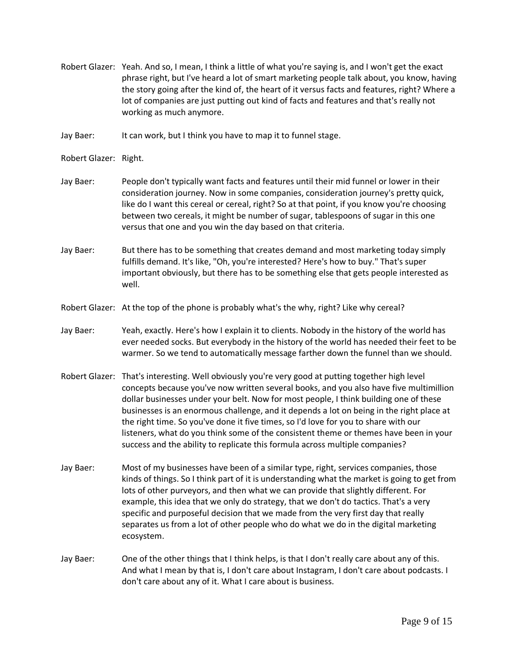- Robert Glazer: Yeah. And so, I mean, I think a little of what you're saying is, and I won't get the exact phrase right, but I've heard a lot of smart marketing people talk about, you know, having the story going after the kind of, the heart of it versus facts and features, right? Where a lot of companies are just putting out kind of facts and features and that's really not working as much anymore.
- Jay Baer: It can work, but I think you have to map it to funnel stage.
- Robert Glazer: Right.
- Jay Baer: People don't typically want facts and features until their mid funnel or lower in their consideration journey. Now in some companies, consideration journey's pretty quick, like do I want this cereal or cereal, right? So at that point, if you know you're choosing between two cereals, it might be number of sugar, tablespoons of sugar in this one versus that one and you win the day based on that criteria.
- Jay Baer: But there has to be something that creates demand and most marketing today simply fulfills demand. It's like, "Oh, you're interested? Here's how to buy." That's super important obviously, but there has to be something else that gets people interested as well.
- Robert Glazer: At the top of the phone is probably what's the why, right? Like why cereal?
- Jay Baer: Yeah, exactly. Here's how I explain it to clients. Nobody in the history of the world has ever needed socks. But everybody in the history of the world has needed their feet to be warmer. So we tend to automatically message farther down the funnel than we should.
- Robert Glazer: That's interesting. Well obviously you're very good at putting together high level concepts because you've now written several books, and you also have five multimillion dollar businesses under your belt. Now for most people, I think building one of these businesses is an enormous challenge, and it depends a lot on being in the right place at the right time. So you've done it five times, so I'd love for you to share with our listeners, what do you think some of the consistent theme or themes have been in your success and the ability to replicate this formula across multiple companies?
- Jay Baer: Most of my businesses have been of a similar type, right, services companies, those kinds of things. So I think part of it is understanding what the market is going to get from lots of other purveyors, and then what we can provide that slightly different. For example, this idea that we only do strategy, that we don't do tactics. That's a very specific and purposeful decision that we made from the very first day that really separates us from a lot of other people who do what we do in the digital marketing ecosystem.
- Jay Baer: One of the other things that I think helps, is that I don't really care about any of this. And what I mean by that is, I don't care about Instagram, I don't care about podcasts. I don't care about any of it. What I care about is business.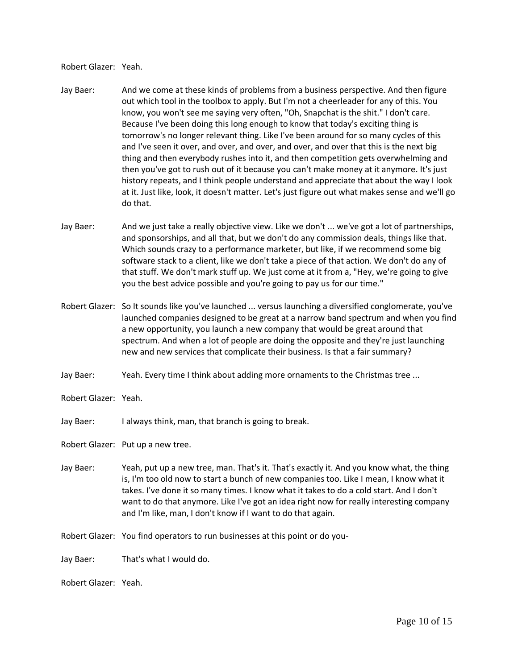Robert Glazer: Yeah.

- Jay Baer: And we come at these kinds of problems from a business perspective. And then figure out which tool in the toolbox to apply. But I'm not a cheerleader for any of this. You know, you won't see me saying very often, "Oh, Snapchat is the shit." I don't care. Because I've been doing this long enough to know that today's exciting thing is tomorrow's no longer relevant thing. Like I've been around for so many cycles of this and I've seen it over, and over, and over, and over, and over that this is the next big thing and then everybody rushes into it, and then competition gets overwhelming and then you've got to rush out of it because you can't make money at it anymore. It's just history repeats, and I think people understand and appreciate that about the way I look at it. Just like, look, it doesn't matter. Let's just figure out what makes sense and we'll go do that.
- Jay Baer: And we just take a really objective view. Like we don't ... we've got a lot of partnerships, and sponsorships, and all that, but we don't do any commission deals, things like that. Which sounds crazy to a performance marketer, but like, if we recommend some big software stack to a client, like we don't take a piece of that action. We don't do any of that stuff. We don't mark stuff up. We just come at it from a, "Hey, we're going to give you the best advice possible and you're going to pay us for our time."
- Robert Glazer: So It sounds like you've launched ... versus launching a diversified conglomerate, you've launched companies designed to be great at a narrow band spectrum and when you find a new opportunity, you launch a new company that would be great around that spectrum. And when a lot of people are doing the opposite and they're just launching new and new services that complicate their business. Is that a fair summary?
- Jay Baer: Yeah. Every time I think about adding more ornaments to the Christmas tree ...
- Robert Glazer: Yeah.
- Jay Baer: I always think, man, that branch is going to break.

Robert Glazer: Put up a new tree.

- Jay Baer: Yeah, put up a new tree, man. That's it. That's exactly it. And you know what, the thing is, I'm too old now to start a bunch of new companies too. Like I mean, I know what it takes. I've done it so many times. I know what it takes to do a cold start. And I don't want to do that anymore. Like I've got an idea right now for really interesting company and I'm like, man, I don't know if I want to do that again.
- Robert Glazer: You find operators to run businesses at this point or do you-
- Jay Baer: That's what I would do.

Robert Glazer: Yeah.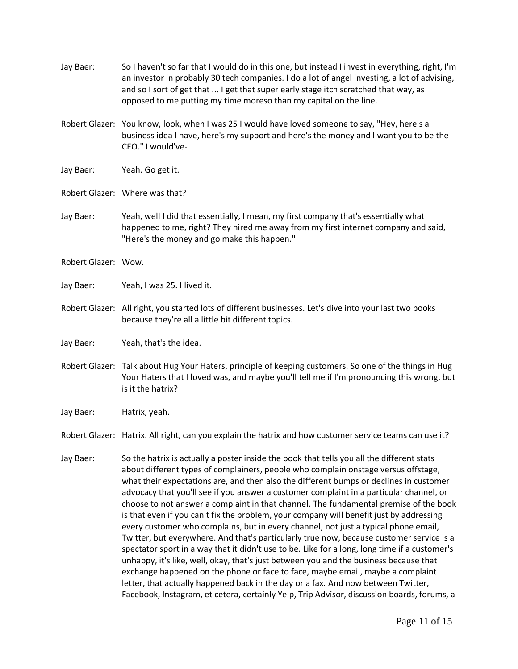| Jay Baer:           | So I haven't so far that I would do in this one, but instead I invest in everything, right, I'm<br>an investor in probably 30 tech companies. I do a lot of angel investing, a lot of advising,<br>and so I sort of get that  I get that super early stage itch scratched that way, as<br>opposed to me putting my time moreso than my capital on the line.                                                                                                                                                                                                                                                                                                                                                                                                                                                                                                                                                                           |
|---------------------|---------------------------------------------------------------------------------------------------------------------------------------------------------------------------------------------------------------------------------------------------------------------------------------------------------------------------------------------------------------------------------------------------------------------------------------------------------------------------------------------------------------------------------------------------------------------------------------------------------------------------------------------------------------------------------------------------------------------------------------------------------------------------------------------------------------------------------------------------------------------------------------------------------------------------------------|
|                     | Robert Glazer: You know, look, when I was 25 I would have loved someone to say, "Hey, here's a<br>business idea I have, here's my support and here's the money and I want you to be the<br>CEO." I would've-                                                                                                                                                                                                                                                                                                                                                                                                                                                                                                                                                                                                                                                                                                                          |
| Jay Baer:           | Yeah. Go get it.                                                                                                                                                                                                                                                                                                                                                                                                                                                                                                                                                                                                                                                                                                                                                                                                                                                                                                                      |
|                     | Robert Glazer: Where was that?                                                                                                                                                                                                                                                                                                                                                                                                                                                                                                                                                                                                                                                                                                                                                                                                                                                                                                        |
| Jay Baer:           | Yeah, well I did that essentially, I mean, my first company that's essentially what<br>happened to me, right? They hired me away from my first internet company and said,<br>"Here's the money and go make this happen."                                                                                                                                                                                                                                                                                                                                                                                                                                                                                                                                                                                                                                                                                                              |
| Robert Glazer: Wow. |                                                                                                                                                                                                                                                                                                                                                                                                                                                                                                                                                                                                                                                                                                                                                                                                                                                                                                                                       |
| Jay Baer:           | Yeah, I was 25. I lived it.                                                                                                                                                                                                                                                                                                                                                                                                                                                                                                                                                                                                                                                                                                                                                                                                                                                                                                           |
|                     | Robert Glazer: All right, you started lots of different businesses. Let's dive into your last two books<br>because they're all a little bit different topics.                                                                                                                                                                                                                                                                                                                                                                                                                                                                                                                                                                                                                                                                                                                                                                         |
| Jay Baer:           | Yeah, that's the idea.                                                                                                                                                                                                                                                                                                                                                                                                                                                                                                                                                                                                                                                                                                                                                                                                                                                                                                                |
|                     | Robert Glazer: Talk about Hug Your Haters, principle of keeping customers. So one of the things in Hug<br>Your Haters that I loved was, and maybe you'll tell me if I'm pronouncing this wrong, but<br>is it the hatrix?                                                                                                                                                                                                                                                                                                                                                                                                                                                                                                                                                                                                                                                                                                              |
| Jay Baer:           | Hatrix, yeah.                                                                                                                                                                                                                                                                                                                                                                                                                                                                                                                                                                                                                                                                                                                                                                                                                                                                                                                         |
|                     | Robert Glazer: Hatrix. All right, can you explain the hatrix and how customer service teams can use it?                                                                                                                                                                                                                                                                                                                                                                                                                                                                                                                                                                                                                                                                                                                                                                                                                               |
| Jay Baer:           | So the hatrix is actually a poster inside the book that tells you all the different stats<br>about different types of complainers, people who complain onstage versus offstage,<br>what their expectations are, and then also the different bumps or declines in customer<br>advocacy that you'll see if you answer a customer complaint in a particular channel, or<br>choose to not answer a complaint in that channel. The fundamental premise of the book<br>is that even if you can't fix the problem, your company will benefit just by addressing<br>every customer who complains, but in every channel, not just a typical phone email,<br>Twitter, but everywhere. And that's particularly true now, because customer service is a<br>spectator sport in a way that it didn't use to be. Like for a long, long time if a customer's<br>unhappy, it's like, well, okay, that's just between you and the business because that |

exchange happened on the phone or face to face, maybe email, maybe a complaint letter, that actually happened back in the day or a fax. And now between Twitter,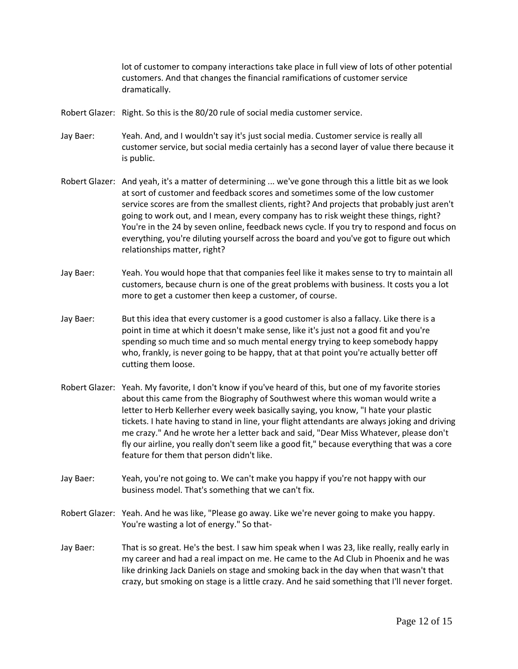lot of customer to company interactions take place in full view of lots of other potential customers. And that changes the financial ramifications of customer service dramatically.

- Robert Glazer: Right. So this is the 80/20 rule of social media customer service.
- Jay Baer: Yeah. And, and I wouldn't say it's just social media. Customer service is really all customer service, but social media certainly has a second layer of value there because it is public.
- Robert Glazer: And yeah, it's a matter of determining ... we've gone through this a little bit as we look at sort of customer and feedback scores and sometimes some of the low customer service scores are from the smallest clients, right? And projects that probably just aren't going to work out, and I mean, every company has to risk weight these things, right? You're in the 24 by seven online, feedback news cycle. If you try to respond and focus on everything, you're diluting yourself across the board and you've got to figure out which relationships matter, right?
- Jay Baer: Yeah. You would hope that that companies feel like it makes sense to try to maintain all customers, because churn is one of the great problems with business. It costs you a lot more to get a customer then keep a customer, of course.
- Jay Baer: But this idea that every customer is a good customer is also a fallacy. Like there is a point in time at which it doesn't make sense, like it's just not a good fit and you're spending so much time and so much mental energy trying to keep somebody happy who, frankly, is never going to be happy, that at that point you're actually better off cutting them loose.
- Robert Glazer: Yeah. My favorite, I don't know if you've heard of this, but one of my favorite stories about this came from the Biography of Southwest where this woman would write a letter to Herb Kellerher every week basically saying, you know, "I hate your plastic tickets. I hate having to stand in line, your flight attendants are always joking and driving me crazy." And he wrote her a letter back and said, "Dear Miss Whatever, please don't fly our airline, you really don't seem like a good fit," because everything that was a core feature for them that person didn't like.
- Jay Baer: Yeah, you're not going to. We can't make you happy if you're not happy with our business model. That's something that we can't fix.
- Robert Glazer: Yeah. And he was like, "Please go away. Like we're never going to make you happy. You're wasting a lot of energy." So that-
- Jay Baer: That is so great. He's the best. I saw him speak when I was 23, like really, really early in my career and had a real impact on me. He came to the Ad Club in Phoenix and he was like drinking Jack Daniels on stage and smoking back in the day when that wasn't that crazy, but smoking on stage is a little crazy. And he said something that I'll never forget.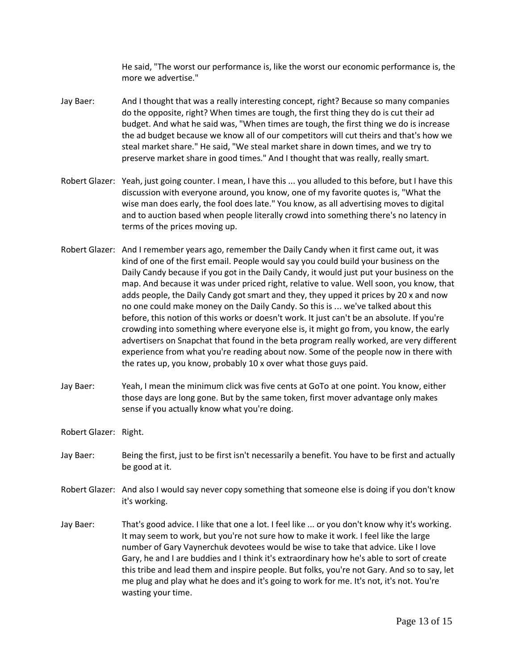He said, "The worst our performance is, like the worst our economic performance is, the more we advertise."

- Jay Baer: And I thought that was a really interesting concept, right? Because so many companies do the opposite, right? When times are tough, the first thing they do is cut their ad budget. And what he said was, "When times are tough, the first thing we do is increase the ad budget because we know all of our competitors will cut theirs and that's how we steal market share." He said, "We steal market share in down times, and we try to preserve market share in good times." And I thought that was really, really smart.
- Robert Glazer: Yeah, just going counter. I mean, I have this ... you alluded to this before, but I have this discussion with everyone around, you know, one of my favorite quotes is, "What the wise man does early, the fool does late." You know, as all advertising moves to digital and to auction based when people literally crowd into something there's no latency in terms of the prices moving up.
- Robert Glazer: And I remember years ago, remember the Daily Candy when it first came out, it was kind of one of the first email. People would say you could build your business on the Daily Candy because if you got in the Daily Candy, it would just put your business on the map. And because it was under priced right, relative to value. Well soon, you know, that adds people, the Daily Candy got smart and they, they upped it prices by 20 x and now no one could make money on the Daily Candy. So this is ... we've talked about this before, this notion of this works or doesn't work. It just can't be an absolute. If you're crowding into something where everyone else is, it might go from, you know, the early advertisers on Snapchat that found in the beta program really worked, are very different experience from what you're reading about now. Some of the people now in there with the rates up, you know, probably 10 x over what those guys paid.
- Jay Baer: Yeah, I mean the minimum click was five cents at GoTo at one point. You know, either those days are long gone. But by the same token, first mover advantage only makes sense if you actually know what you're doing.

Robert Glazer: Right.

- Jay Baer: Being the first, just to be first isn't necessarily a benefit. You have to be first and actually be good at it.
- Robert Glazer: And also I would say never copy something that someone else is doing if you don't know it's working.
- Jay Baer: That's good advice. I like that one a lot. I feel like ... or you don't know why it's working. It may seem to work, but you're not sure how to make it work. I feel like the large number of Gary Vaynerchuk devotees would be wise to take that advice. Like I love Gary, he and I are buddies and I think it's extraordinary how he's able to sort of create this tribe and lead them and inspire people. But folks, you're not Gary. And so to say, let me plug and play what he does and it's going to work for me. It's not, it's not. You're wasting your time.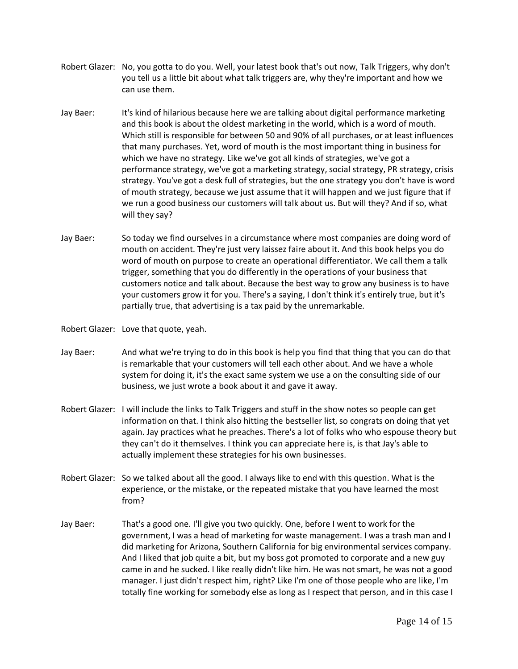- Robert Glazer: No, you gotta to do you. Well, your latest book that's out now, Talk Triggers, why don't you tell us a little bit about what talk triggers are, why they're important and how we can use them.
- Jay Baer: It's kind of hilarious because here we are talking about digital performance marketing and this book is about the oldest marketing in the world, which is a word of mouth. Which still is responsible for between 50 and 90% of all purchases, or at least influences that many purchases. Yet, word of mouth is the most important thing in business for which we have no strategy. Like we've got all kinds of strategies, we've got a performance strategy, we've got a marketing strategy, social strategy, PR strategy, crisis strategy. You've got a desk full of strategies, but the one strategy you don't have is word of mouth strategy, because we just assume that it will happen and we just figure that if we run a good business our customers will talk about us. But will they? And if so, what will they say?
- Jay Baer: So today we find ourselves in a circumstance where most companies are doing word of mouth on accident. They're just very laissez faire about it. And this book helps you do word of mouth on purpose to create an operational differentiator. We call them a talk trigger, something that you do differently in the operations of your business that customers notice and talk about. Because the best way to grow any business is to have your customers grow it for you. There's a saying, I don't think it's entirely true, but it's partially true, that advertising is a tax paid by the unremarkable.

Robert Glazer: Love that quote, yeah.

- Jay Baer: And what we're trying to do in this book is help you find that thing that you can do that is remarkable that your customers will tell each other about. And we have a whole system for doing it, it's the exact same system we use a on the consulting side of our business, we just wrote a book about it and gave it away.
- Robert Glazer: I will include the links to Talk Triggers and stuff in the show notes so people can get information on that. I think also hitting the bestseller list, so congrats on doing that yet again. Jay practices what he preaches. There's a lot of folks who who espouse theory but they can't do it themselves. I think you can appreciate here is, is that Jay's able to actually implement these strategies for his own businesses.
- Robert Glazer: So we talked about all the good. I always like to end with this question. What is the experience, or the mistake, or the repeated mistake that you have learned the most from?
- Jay Baer: That's a good one. I'll give you two quickly. One, before I went to work for the government, I was a head of marketing for waste management. I was a trash man and I did marketing for Arizona, Southern California for big environmental services company. And I liked that job quite a bit, but my boss got promoted to corporate and a new guy came in and he sucked. I like really didn't like him. He was not smart, he was not a good manager. I just didn't respect him, right? Like I'm one of those people who are like, I'm totally fine working for somebody else as long as I respect that person, and in this case I